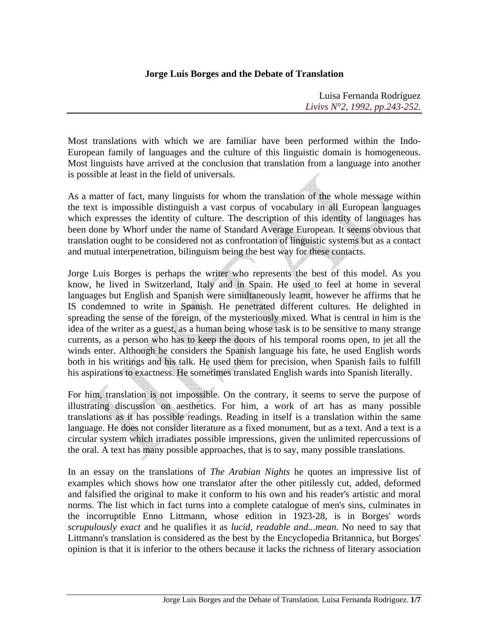## **Jorge Luis Borges and the Debate of Translation**

Luisa Fernanda Rodríguez *Livivs N°2, 1992, pp.243-252.*

Most translations with which we are familiar have been performed within the Indo-European family of languages and the culture of this linguistic domain is homogeneous. Most linguists have arrived at the conclusion that translation from a language into another is possible at least in the field of universals.

As a matter of fact, many linguists for whom the translation of the whole message within the text is impossible distinguish a vast corpus of vocabulary in all European languages which expresses the identity of culture. The description of this identity of languages has been done by Whorf under the name of Standard Average European. It seems obvious that translation ought to be considered not as confrontation of linguistic systems but as a contact and mutual interpenetration, bilinguism being the best way for these contacts.

Jorge Luis Borges is perhaps the writer who represents the best of this model. As you know, he lived in Switzerland, Italy and in Spain. He used to feel at home in several languages but English and Spanish were simultaneously learnt, however he affirms that he IS condemned to write in Spanish. He penetrated different cultures. He delighted in spreading the sense of the foreign, of the mysteriously mixed. What is central in him is the idea of the writer as a guest, as a human being whose task is to be sensitive to many strange currents, as a person who has to keep the doors of his temporal rooms open, to jet all the winds enter. Although he considers the Spanish language his fate, he used English words both in his writings and his talk. He used them for precision, when Spanish fails to fulfill his aspirations to exactness. He sometimes translated English wards into Spanish literally.

For him, translation is not impossible. On the contrary, it seems to serve the purpose of illustrating discussion on aesthetics. For him, a work of art has as many possible translations as it has possible readings. Reading in itself is a translation within the same language. He does not consider literature as a fixed monument, but as a text. And a text is a circular system which irradiates possible impressions, given the unlimited repercussions of the oral. A text has many possible approaches, that is to say, many possible translations.

In an essay on the translations of *The Arabian Nights* he quotes an impressive list of examples which shows how one translator after the other pitilessly cut, added, deformed and falsified the original to make it conform to his own and his reader's artistic and moral norms. The list which in fact turns into a complete catalogue of men's sins, culminates in the incorruptible Enno Littmann, whose edition in 1923-28, is in Borges' words *scrupulously exact* and he qualifies it as *lucid, readable and...mean*. No need to say that Littmann's translation is considered as the best by the Encyclopedia Britannica, but Borges' opinion is that it is inferior to the others because it lacks the richness of literary association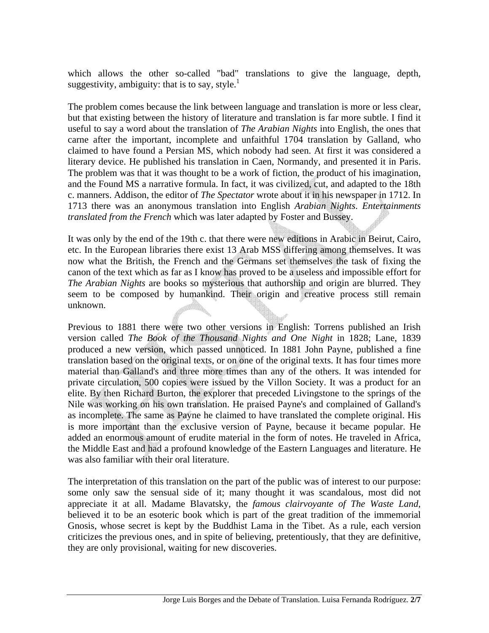which allows the other so-called "bad" translations to give the language, depth, suggestivity, ambiguity: that is to say, style.<sup>1</sup>

The problem comes because the link between language and translation is more or less clear, but that existing between the history of literature and translation is far more subtle. I find it useful to say a word about the translation of *The Arabian Nights* into English, the ones that carne after the important, incomplete and unfaithful 1704 translation by Galland, who claimed to have found a Persian MS, which nobody had seen. At first it was considered a literary device. He published his translation in Caen, Normandy, and presented it in Paris. The problem was that it was thought to be a work of fiction, the product of his imagination, and the Found MS a narrative formula. In fact, it was civilized, cut, and adapted to the 18th c. manners. Addison, the editor of *The Spectator* wrote about it in his newspaper in 1712. In 1713 there was an anonymous translation into English *Arabian Nights*. *Entertainments translated from the French* which was later adapted by Foster and Bussey.

It was only by the end of the 19th c. that there were new editions in Arabic in Beirut, Cairo, etc. In the European libraries there exist 13 Arab MSS differing among themselves. It was now what the British, the French and the Germans set themselves the task of fixing the canon of the text which as far as I know has proved to be a useless and impossible effort for *The Arabian Nights* are books so mysterious that authorship and origin are blurred. They seem to be composed by humankind. Their origin and creative process still remain unknown.

Previous to 1881 there were two other versions in English: Torrens published an Irish version called *The Book of the Thousand Nights and One Night* in 1828; Lane, 1839 produced a new version, which passed unnoticed. In 1881 John Payne, published a fine translation based on the original texts, or on one of the original texts. It has four times more material than Galland's and three more times than any of the others. It was intended for private circulation, 500 copies were issued by the Villon Society. It was a product for an elite. By then Richard Burton, the explorer that preceded Livingstone to the springs of the Nile was working on his own translation. He praised Payne's and complained of Galland's as incomplete. The same as Payne he claimed to have translated the complete original. His is more important than the exclusive version of Payne, because it became popular. He added an enormous amount of erudite material in the form of notes. He traveled in Africa, the Middle East and had a profound knowledge of the Eastern Languages and literature. He was also familiar with their oral literature.

The interpretation of this translation on the part of the public was of interest to our purpose: some only saw the sensual side of it; many thought it was scandalous, most did not appreciate it at all. Madame Blavatsky, the *famous clairvoyante of The Waste Land*, believed it to be an esoteric book which is part of the great tradition of the immemorial Gnosis, whose secret is kept by the Buddhist Lama in the Tibet. As a rule, each version criticizes the previous ones, and in spite of believing, pretentiously, that they are definitive, they are only provisional, waiting for new discoveries.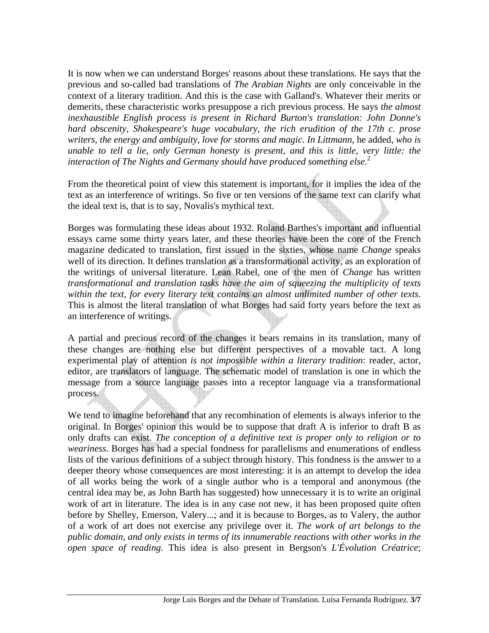It is now when we can understand Borges' reasons about these translations. He says that the previous and so-called bad translations of *The Arabian Nights* are only conceivable in the context of a literary tradition. And this is the case with Galland's. Whatever their merits or demerits, these characteristic works presuppose a rich previous process. He says *the almost inexhaustible English process is present in Richard Burton's translation: John Donne's hard obscenity, Shakespeare's huge vocabulary, the rich erudition of the 17th c. prose writers, the energy and ambiguity, love for storms and magic. In Littmann*, he added, *who is unable to tell a lie, only German honesty is present, and this is little, very little: the interaction of The Nights and Germany should have produced something else*. 2

From the theoretical point of view this statement is important, for it implies the idea of the text as an interference of writings. So five or ten versions of the same text can clarify what the ideal text is, that is to say, Novalis's mythical text.

Borges was formulating these ideas about 1932. Roland Barthes's important and influential essays carne some thirty years later, and these theories have been the core of the French magazine dedicated to translation, first issued in the sixties, whose name *Change* speaks well of its direction. It defines translation as a transformational activity, as an exploration of the writings of universal literature. Lean Rabel, one of the men of *Change* has written *transformational and translation tasks have the aim of squeezing the multiplicity of texts within the text, for every literary text contains an almost unlimited number of other texts*. This is almost the literal translation of what Borges had said forty years before the text as an interference of writings.

A partial and precious record of the changes it bears remains in its translation, many of these changes are nothing else but different perspectives of a movable tact. A long experimental play of attention *is not impossible within a literary tradition*: reader, actor, editor, are translators of language. The schematic model of translation is one in which the message from a source language passes into a receptor language via a transformational process.

We tend to imagine beforehand that any recombination of elements is always inferior to the original. In Borges' opinion this would be to suppose that draft A is inferior to draft B as only drafts can exist. *The conception of a definitive text is proper only to religion or to weariness*. Borges has had a special fondness for parallelisms and enumerations of endless lists of the various definitions of a subject through history. This fondness is the answer to a deeper theory whose consequences are most interesting: it is an attempt to develop the idea of all works being the work of a single author who is a temporal and anonymous (the central idea may be, as John Barth has suggested) how unnecessary it is to write an original work of art in literature. The idea is in any case not new, it has been proposed quite often before by Shelley, Emerson, Valery...; and it is because to Borges, as to Valery, the author of a work of art does not exercise any privilege over it. *The work of art belongs to the public domain, and only exists in terms of its innumerable reactions with other works in the open space of reading*. This idea is also present in Bergson's *L'Évolution Créatrice*;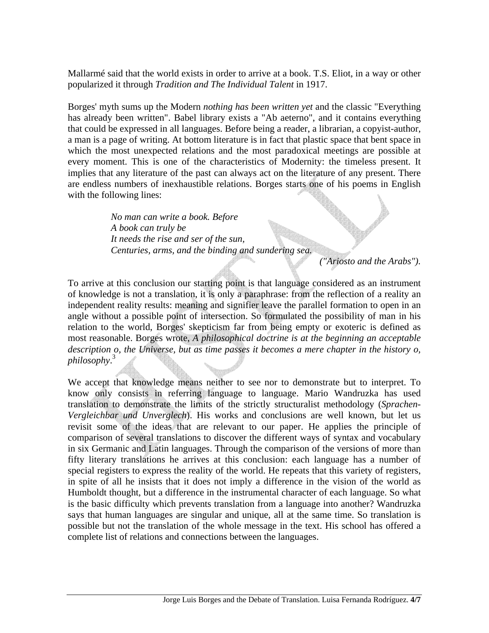Mallarmé said that the world exists in order to arrive at a book. T.S. Eliot, in a way or other popularized it through *Tradition and The Individual Talent* in 1917.

Borges' myth sums up the Modern *nothing has been written yet* and the classic "Everything has already been written". Babel library exists a "Ab aeterno", and it contains everything that could be expressed in all languages. Before being a reader, a librarian, a copyist-author, a man is a page of writing. At bottom literature is in fact that plastic space that bent space in which the most unexpected relations and the most paradoxical meetings are possible at every moment. This is one of the characteristics of Modernity: the timeless present. It implies that any literature of the past can always act on the literature of any present. There are endless numbers of inexhaustible relations. Borges starts one of his poems in English with the following lines:

> *No man can write a book. Before A book can truly be It needs the rise and ser of the sun, Centuries, arms, and the binding and sundering sea.*

> > *("Ariosto and the Arabs").*

To arrive at this conclusion our starting point is that language considered as an instrument of knowledge is not a translation, it is only a paraphrase: from the reflection of a reality an independent reality results: meaning and signifier leave the parallel formation to open in an angle without a possible point of intersection. So formulated the possibility of man in his relation to the world, Borges' skepticism far from being empty or exoteric is defined as most reasonable. Borges wrote, *A philosophical doctrine is at the beginning an acceptable description o, the Universe, but as time passes it becomes a mere chapter in the history o, philosophy*. 3

We accept that knowledge means neither to see nor to demonstrate but to interpret. To know only consists in referring language to language. Mario Wandruzka has used translation to demonstrate the limits of the strictly structuralist methodology (*Sprachen-Vergleichbar und Unverglech*). His works and conclusions are well known, but let us revisit some of the ideas that are relevant to our paper. He applies the principle of comparison of several translations to discover the different ways of syntax and vocabulary in six Germanic and Latin languages. Through the comparison of the versions of more than fifty literary translations he arrives at this conclusion: each language has a number of special registers to express the reality of the world. He repeats that this variety of registers, in spite of all he insists that it does not imply a difference in the vision of the world as Humboldt thought, but a difference in the instrumental character of each language. So what is the basic difficulty which prevents translation from a language into another? Wandruzka says that human languages are singular and unique, all at the same time. So translation is possible but not the translation of the whole message in the text. His school has offered a complete list of relations and connections between the languages.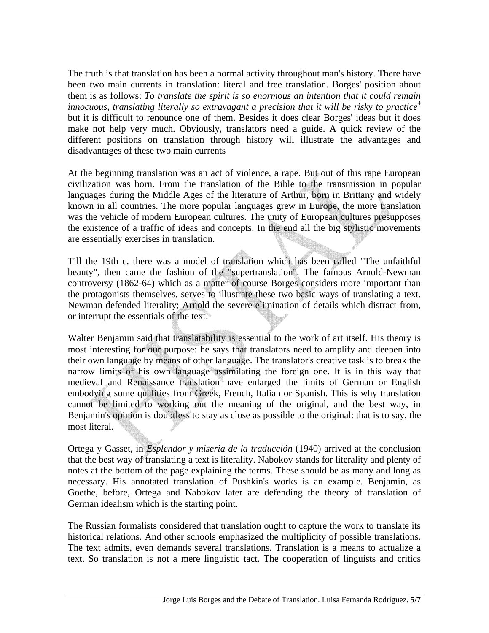The truth is that translation has been a normal activity throughout man's history. There have been two main currents in translation: literal and free translation. Borges' position about them is as follows: *To translate the spirit is so enormous an intention that it could remain innocuous, translating literally so extravagant a precision that it will be risky to practice*<sup>4</sup> but it is difficult to renounce one of them. Besides it does clear Borges' ideas but it does make not help very much. Obviously, translators need a guide. A quick review of the different positions on translation through history will illustrate the advantages and disadvantages of these two main currents

At the beginning translation was an act of violence, a rape. But out of this rape European civilization was born. From the translation of the Bible to the transmission in popular languages during the Middle Ages of the literature of Arthur, born in Brittany and widely known in all countries. The more popular languages grew in Europe, the more translation was the vehicle of modern European cultures. The unity of European cultures presupposes the existence of a traffic of ideas and concepts. In the end all the big stylistic movements are essentially exercises in translation.

Till the 19th c. there was a model of translation which has been called "The unfaithful beauty", then came the fashion of the "supertranslation". The famous Arnold-Newman controversy (1862-64) which as a matter of course Borges considers more important than the protagonists themselves, serves to illustrate these two basic ways of translating a text. Newman defended literality; Arnold the severe elimination of details which distract from, or interrupt the essentials of the text.

Walter Benjamin said that translatability is essential to the work of art itself. His theory is most interesting for our purpose: he says that translators need to amplify and deepen into their own language by means of other language. The translator's creative task is to break the narrow limits of his own language assimilating the foreign one. It is in this way that medieval and Renaissance translation have enlarged the limits of German or English embodying some qualities from Greek, French, Italian or Spanish. This is why translation cannot be limited to working out the meaning of the original, and the best way, in Benjamin's opinion is doubtless to stay as close as possible to the original: that is to say, the most literal.

Ortega y Gasset, in *Esplendor y miseria de la traducción* (1940) arrived at the conclusion that the best way of translating a text is literality. Nabokov stands for literality and plenty of notes at the bottom of the page explaining the terms. These should be as many and long as necessary. His annotated translation of Pushkin's works is an example. Benjamin, as Goethe, before, Ortega and Nabokov later are defending the theory of translation of German idealism which is the starting point.

The Russian formalists considered that translation ought to capture the work to translate its historical relations. And other schools emphasized the multiplicity of possible translations. The text admits, even demands several translations. Translation is a means to actualize a text. So translation is not a mere linguistic tact. The cooperation of linguists and critics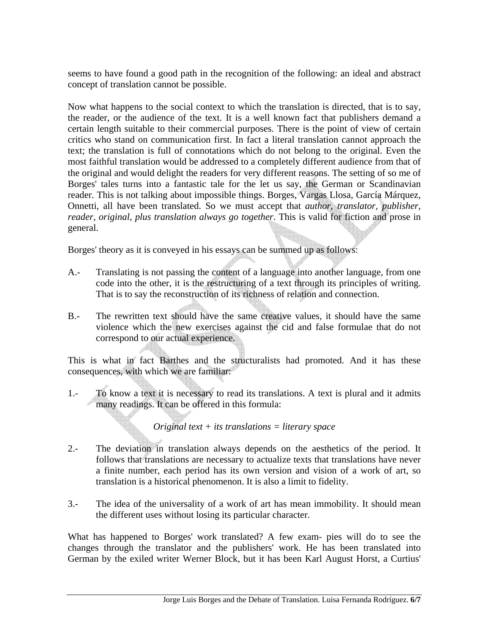seems to have found a good path in the recognition of the following: an ideal and abstract concept of translation cannot be possible.

Now what happens to the social context to which the translation is directed, that is to say, the reader, or the audience of the text. It is a well known fact that publishers demand a certain length suitable to their commercial purposes. There is the point of view of certain critics who stand on communication first. In fact a literal translation cannot approach the text; the translation is full of connotations which do not belong to the original. Even the most faithful translation would be addressed to a completely different audience from that of the original and would delight the readers for very different reasons. The setting of so me of Borges' tales turns into a fantastic tale for the let us say, the German or Scandinavian reader. This is not talking about impossible things. Borges, Vargas Llosa, García Márquez, Onnetti, all have been translated. So we must accept that *author, translator, publisher, reader, original, plus translation always go together*. This is valid for fiction and prose in general.

Borges' theory as it is conveyed in his essays can be summed up as follows:

- A.- Translating is not passing the content of a language into another language, from one code into the other, it is the restructuring of a text through its principles of writing. That is to say the reconstruction of its richness of relation and connection.
- B.- The rewritten text should have the same creative values, it should have the same violence which the new exercises against the cid and false formulae that do not correspond to our actual experience.

This is what in fact Barthes and the structuralists had promoted. And it has these consequences, with which we are familiar:

1.- To know a text it is necessary to read its translations. A text is plural and it admits many readings. It can be offered in this formula:

*Original text + its translations = literary space* 

- 2.- The deviation in translation always depends on the aesthetics of the period. It follows that translations are necessary to actualize texts that translations have never a finite number, each period has its own version and vision of a work of art, so translation is a historical phenomenon. It is also a limit to fidelity.
- 3.- The idea of the universality of a work of art has mean immobility. It should mean the different uses without losing its particular character.

What has happened to Borges' work translated? A few exam- pies will do to see the changes through the translator and the publishers' work. He has been translated into German by the exiled writer Werner Block, but it has been Karl August Horst, a Curtius'